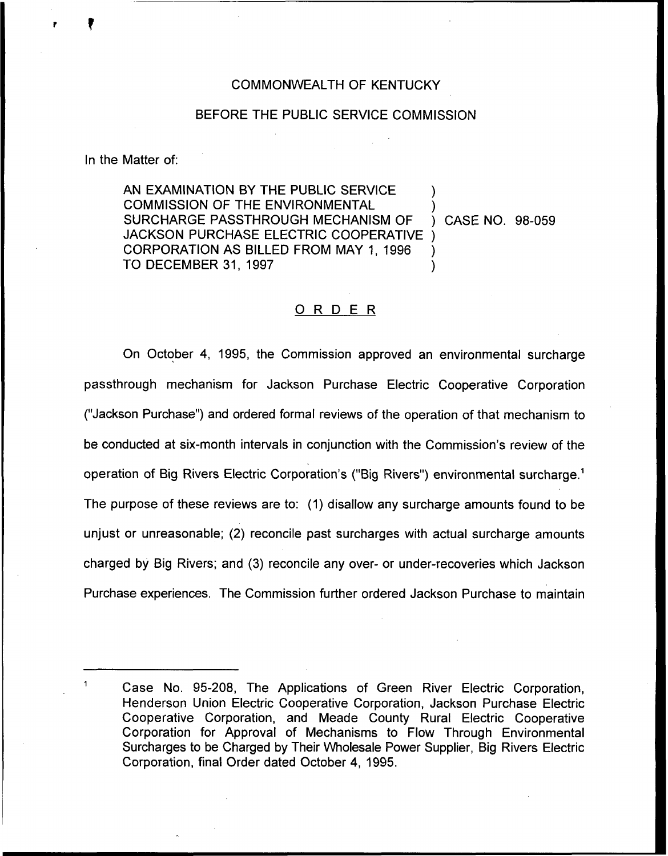## COMMONWEALTH OF KENTUCKY

## BEFORE THE PUBLIC SERVICE COMMISSION

In the Matter of:

AN EXAMINATION BY THE PUBLIC SERVICE COMMISSION OF THE ENVIRONMENTAL SURCHARGE PASSTHROUGH MECHANISM OF ) CASE NO. 98-059 JACKSON PURCHASE ELECTRIC COOPERATIVE CORPORATION AS BILLED FROM MAY 1, 1996 TO DECEMBER 31, 1997

## 0 <sup>R</sup> <sup>D</sup> <sup>E</sup> <sup>R</sup>

On October 4, 1995, the Commission approved an environmental surcharge passthrough mechanism for Jackson Purchase Electric Cooperative Corporation ("Jackson Purchase") and ordered formal reviews of the operation of that mechanism to be conducted at six-month intervals in conjunction with the Commission's review of the operation of Big Rivers Electric Corporation's ("Big Rivers") environmental surcharge.<sup>1</sup> The purpose of these reviews are to: (1) disallow any surcharge amounts found to be unjust or unreasonable; (2) reconcile past surcharges with actual surcharge amounts charged by Big Rivers; and (3) reconcile any over- or under-recoveries which Jackson Purchase experiences. The Commission further ordered Jackson Purchase to maintain

Case No. 95-208, The Applications of Green River Electric Corporation, Henderson Union Electric Cooperative Corporation, Jackson Purchase Electric Cooperative Corporation, and Meade County Rural Electric Cooperative Corporation for Approval of Mechanisms to Flow Through Environmental Surcharges to be Charged by Their Wholesale Power Supplier, Big Rivers Electric Corporation, final Order dated October 4, 1995.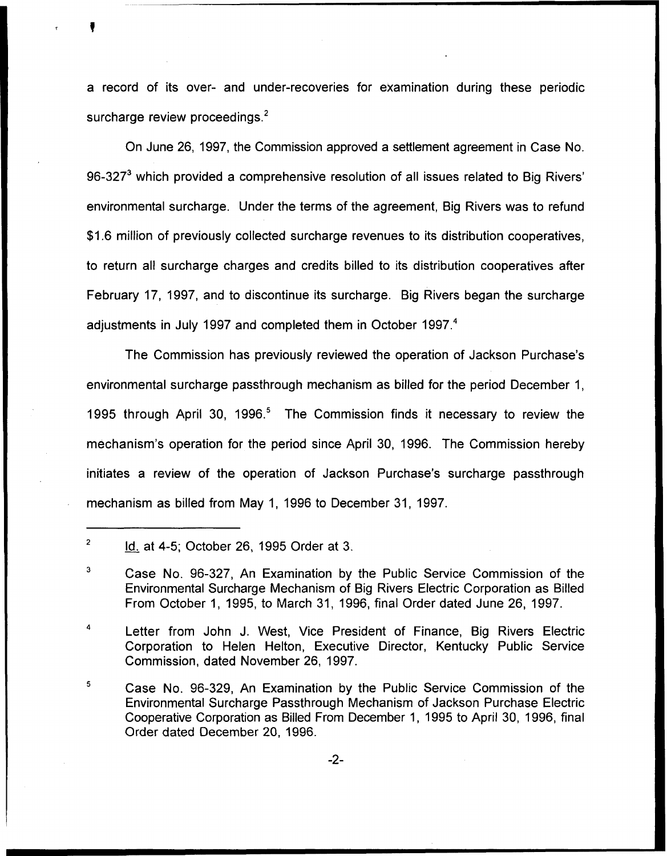a record of its over- and under-recoveries for examination during these periodic surcharge review proceedings. $<sup>2</sup>$ </sup>

On June 26, 1997, the Commission approved a settlement agreement in Case No. 96-327 $<sup>3</sup>$  which provided a comprehensive resolution of all issues related to Big Rivers'</sup> environmental surcharge. Under the terms of the agreement, Big Rivers was to refund \$1.6 million of previously collected surcharge revenues to its distribution cooperatives, to return all surcharge charges and credits billed to its distribution cooperatives after February 17, 1997, and to discontinue its surcharge. Big Rivers began the surcharge adjustments in July 1997 and completed them in October 1997.<sup>4</sup>

The Commission has previously reviewed the operation of Jackson Purchase's environmental surcharge passthrough mechanism as billed for the period December 1, 1995 through April 30, 1996.<sup>5</sup> The Commission finds it necessary to review the mechanism's operation for the period since April 30, 1996. The Commission hereby initiates a review of the operation of Jackson Purchase's surcharge passthrough mechanism as billed from May 1, 1996 to December 31, 1997.

 $\ddot{q}$ Letter from John J. West, Vice President of Finance, Big Rivers Electric Corporation to Helen Helton, Executive Director, Kentucky Public Service Commission, dated November 26, 1997.

5 Case No. 96-329, An Examination by the Public Service Commission of the Environmental Surcharge Passthrough Mechanism of Jackson Purchase Electric Cooperative Corporation as Billed From December 1, 1995 to April 30, 1996, final Order dated December 20, 1996.

 $\overline{2}$ Id. at 4-5; October 26, 1995 Order at 3.

<sup>3</sup> Case No. 96-327, An Examination by the Public Service Commission of the Environmental Surcharge Mechanism of Big Rivers Electric Corporation as Billed From October 1, 1995, to March 31, 1996, final Order dated June 26, 1997.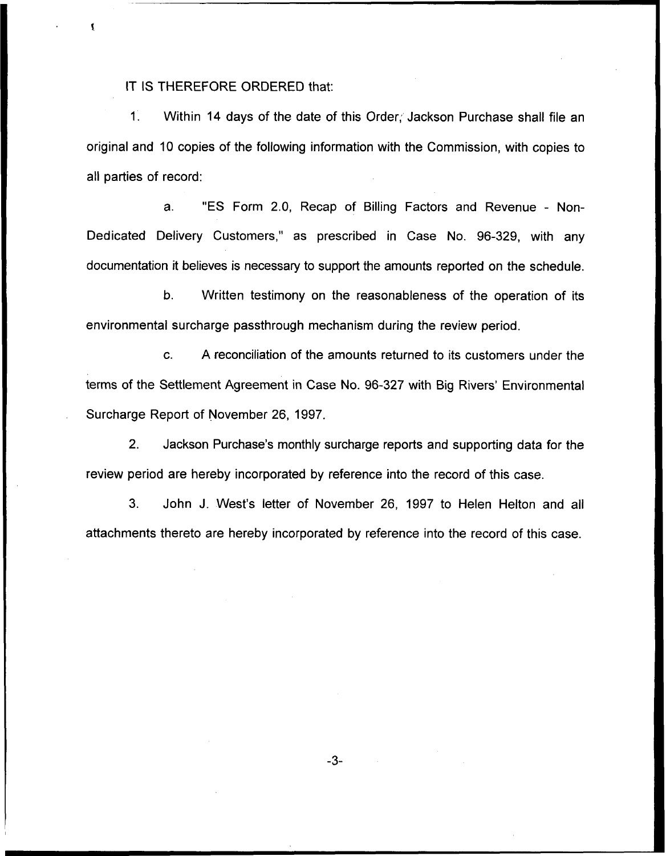IT IS THEREFORE ORDERED that:

1. Within 14 days of the date of this Order; Jackson Purchase shall file an original and 10 copies of the following information with the Commission, with copies to all parties of record:

a. "ES Form 2.0, Recap of Billing Factors and Revenue - Non-Dedicated Delivery Customers," as prescribed in Case No. 96-329, with any documentation it believes is necessary to support the amounts reported on the schedule.

b. Written testimony on the reasonableness of the operation of its environmental surcharge passthrough mechanism during the review period.

c. A reconciliation of the amounts returned to its customers under the terms of the Settlement Agreement in Case No. 96-327 with Big Rivers' Environmental Surcharge Report of November 26, 1997.

2. Jackson Purchase's monthly surcharge reports and supporting data for the review period are hereby incorporated by reference into the record of this case.

3. John J. VVest's letter of November 26, 1997 to Helen Helton and all attachments thereto are hereby incorporated by reference into the record of this case.